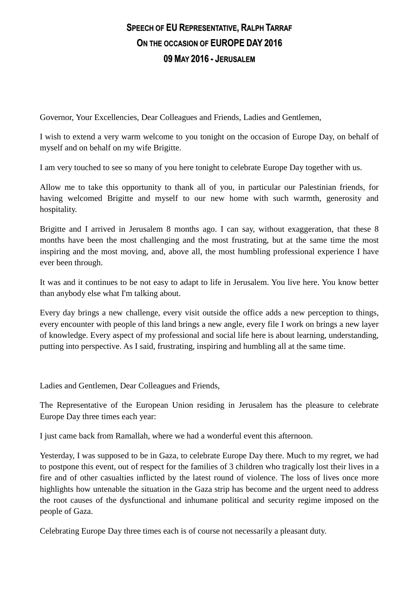## **SPEECH OF EU REPRESENTATIVE, RALPH TARRAF ON THE OCCASION OF EUROPE DAY 2016 09 MAY 2016 - JERUSALEM**

Governor, Your Excellencies, Dear Colleagues and Friends, Ladies and Gentlemen,

I wish to extend a very warm welcome to you tonight on the occasion of Europe Day, on behalf of myself and on behalf on my wife Brigitte.

I am very touched to see so many of you here tonight to celebrate Europe Day together with us.

Allow me to take this opportunity to thank all of you, in particular our Palestinian friends, for having welcomed Brigitte and myself to our new home with such warmth, generosity and hospitality.

Brigitte and I arrived in Jerusalem 8 months ago. I can say, without exaggeration, that these 8 months have been the most challenging and the most frustrating, but at the same time the most inspiring and the most moving, and, above all, the most humbling professional experience I have ever been through.

It was and it continues to be not easy to adapt to life in Jerusalem. You live here. You know better than anybody else what I'm talking about.

Every day brings a new challenge, every visit outside the office adds a new perception to things, every encounter with people of this land brings a new angle, every file I work on brings a new layer of knowledge. Every aspect of my professional and social life here is about learning, understanding, putting into perspective. As I said, frustrating, inspiring and humbling all at the same time.

Ladies and Gentlemen, Dear Colleagues and Friends,

The Representative of the European Union residing in Jerusalem has the pleasure to celebrate Europe Day three times each year:

I just came back from Ramallah, where we had a wonderful event this afternoon.

Yesterday, I was supposed to be in Gaza, to celebrate Europe Day there. Much to my regret, we had to postpone this event, out of respect for the families of 3 children who tragically lost their lives in a fire and of other casualties inflicted by the latest round of violence. The loss of lives once more highlights how untenable the situation in the Gaza strip has become and the urgent need to address the root causes of the dysfunctional and inhumane political and security regime imposed on the people of Gaza.

Celebrating Europe Day three times each is of course not necessarily a pleasant duty.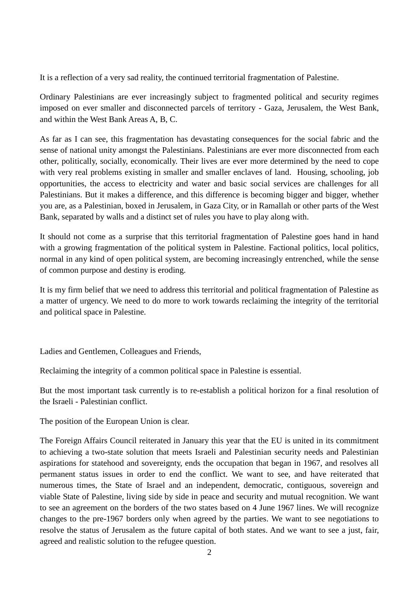It is a reflection of a very sad reality, the continued territorial fragmentation of Palestine.

Ordinary Palestinians are ever increasingly subject to fragmented political and security regimes imposed on ever smaller and disconnected parcels of territory - Gaza, Jerusalem, the West Bank, and within the West Bank Areas A, B, C.

As far as I can see, this fragmentation has devastating consequences for the social fabric and the sense of national unity amongst the Palestinians. Palestinians are ever more disconnected from each other, politically, socially, economically. Their lives are ever more determined by the need to cope with very real problems existing in smaller and smaller enclaves of land. Housing, schooling, job opportunities, the access to electricity and water and basic social services are challenges for all Palestinians. But it makes a difference, and this difference is becoming bigger and bigger, whether you are, as a Palestinian, boxed in Jerusalem, in Gaza City, or in Ramallah or other parts of the West Bank, separated by walls and a distinct set of rules you have to play along with.

It should not come as a surprise that this territorial fragmentation of Palestine goes hand in hand with a growing fragmentation of the political system in Palestine. Factional politics, local politics, normal in any kind of open political system, are becoming increasingly entrenched, while the sense of common purpose and destiny is eroding.

It is my firm belief that we need to address this territorial and political fragmentation of Palestine as a matter of urgency. We need to do more to work towards reclaiming the integrity of the territorial and political space in Palestine.

Ladies and Gentlemen, Colleagues and Friends,

Reclaiming the integrity of a common political space in Palestine is essential.

But the most important task currently is to re-establish a political horizon for a final resolution of the Israeli - Palestinian conflict.

The position of the European Union is clear.

The Foreign Affairs Council reiterated in January this year that the EU is united in its commitment to achieving a two-state solution that meets Israeli and Palestinian security needs and Palestinian aspirations for statehood and sovereignty, ends the occupation that began in 1967, and resolves all permanent status issues in order to end the conflict. We want to see, and have reiterated that numerous times, the State of Israel and an independent, democratic, contiguous, sovereign and viable State of Palestine, living side by side in peace and security and mutual recognition. We want to see an agreement on the borders of the two states based on 4 June 1967 lines. We will recognize changes to the pre-1967 borders only when agreed by the parties. We want to see negotiations to resolve the status of Jerusalem as the future capital of both states. And we want to see a just, fair, agreed and realistic solution to the refugee question.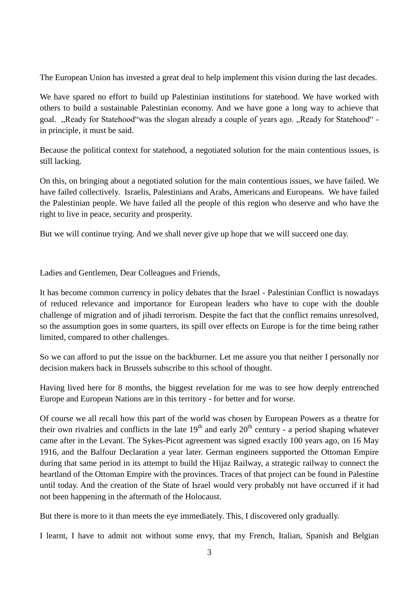The European Union has invested a great deal to help implement this vision during the last decades.

We have spared no effort to build up Palestinian institutions for statehood. We have worked with others to build a sustainable Palestinian economy. And we have gone a long way to achieve that goal. "Ready for Statehood" was the slogan already a couple of years ago. "Ready for Statehood" in principle, it must be said.

Because the political context for statehood, a negotiated solution for the main contentious issues, is still lacking.

On this, on bringing about a negotiated solution for the main contentious issues, we have failed. We have failed collectively. Israelis, Palestinians and Arabs, Americans and Europeans. We have failed the Palestinian people. We have failed all the people of this region who deserve and who have the right to live in peace, security and prosperity.

But we will continue trying. And we shall never give up hope that we will succeed one day.

Ladies and Gentlemen, Dear Colleagues and Friends,

It has become common currency in policy debates that the Israel - Palestinian Conflict is nowadays of reduced relevance and importance for European leaders who have to cope with the double challenge of migration and of jihadi terrorism. Despite the fact that the conflict remains unresolved, so the assumption goes in some quarters, its spill over effects on Europe is for the time being rather limited, compared to other challenges.

So we can afford to put the issue on the backburner. Let me assure you that neither I personally nor decision makers back in Brussels subscribe to this school of thought.

Having lived here for 8 months, the biggest revelation for me was to see how deeply entrenched Europe and European Nations are in this territory - for better and for worse.

Of course we all recall how this part of the world was chosen by European Powers as a theatre for their own rivalries and conflicts in the late  $19<sup>th</sup>$  and early  $20<sup>th</sup>$  century - a period shaping whatever came after in the Levant. The Sykes-Picot agreement was signed exactly 100 years ago, on 16 May 1916, and the Balfour Declaration a year later. German engineers supported the Ottoman Empire during that same period in its attempt to build the Hijaz Railway, a strategic railway to connect the heartland of the Ottoman Empire with the provinces. Traces of that project can be found in Palestine until today. And the creation of the State of Israel would very probably not have occurred if it had not been happening in the aftermath of the Holocaust.

But there is more to it than meets the eye immediately. This, I discovered only gradually.

I learnt, I have to admit not without some envy, that my French, Italian, Spanish and Belgian